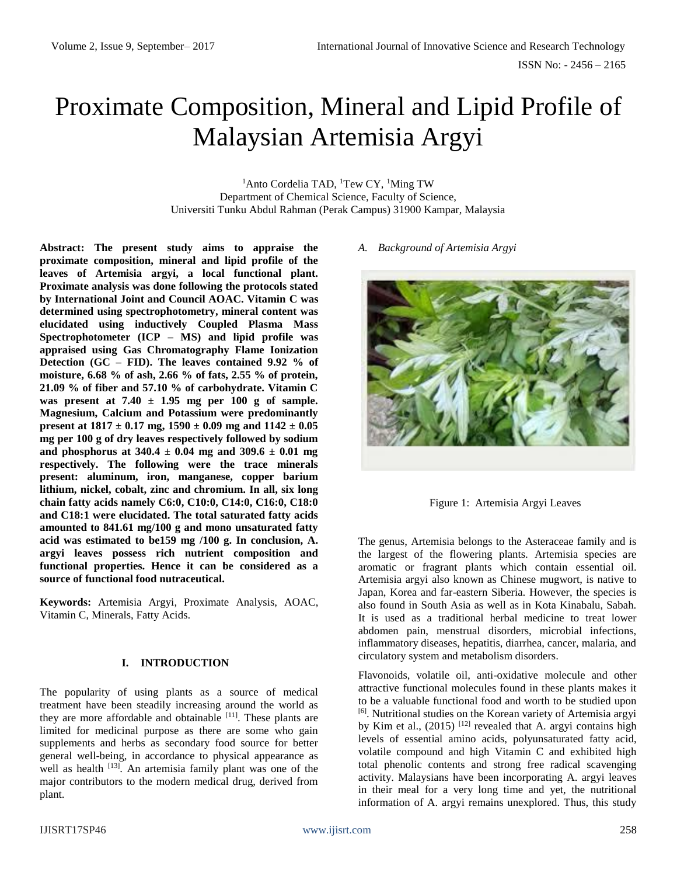# Proximate Composition, Mineral and Lipid Profile of Malaysian Artemisia Argyi

<sup>1</sup>Anto Cordelia TAD, <sup>1</sup>Tew CY, <sup>1</sup>Ming TW Department of Chemical Science, Faculty of Science, Universiti Tunku Abdul Rahman (Perak Campus) 31900 Kampar, Malaysia

**Abstract: The present study aims to appraise the proximate composition, mineral and lipid profile of the leaves of Artemisia argyi, a local functional plant. Proximate analysis was done following the protocols stated by International Joint and Council AOAC. Vitamin C was determined using spectrophotometry, mineral content was elucidated using inductively Coupled Plasma Mass Spectrophotometer (ICP – MS) and lipid profile was appraised using Gas Chromatography Flame Ionization Detection (GC – FID). The leaves contained 9.92 % of moisture, 6.68 % of ash, 2.66 % of fats, 2.55 % of protein, 21.09 % of fiber and 57.10 % of carbohydrate. Vitamin C was present at 7.40 ± 1.95 mg per 100 g of sample. Magnesium, Calcium and Potassium were predominantly present at 1817 ± 0.17 mg, 1590 ± 0.09 mg and 1142 ± 0.05 mg per 100 g of dry leaves respectively followed by sodium and phosphorus at 340.4 ± 0.04 mg and 309.6 ± 0.01 mg respectively. The following were the trace minerals present: aluminum, iron, manganese, copper barium lithium, nickel, cobalt, zinc and chromium. In all, six long chain fatty acids namely C6:0, C10:0, C14:0, C16:0, C18:0 and C18:1 were elucidated. The total saturated fatty acids amounted to 841.61 mg/100 g and mono unsaturated fatty acid was estimated to be159 mg /100 g. In conclusion, A. argyi leaves possess rich nutrient composition and functional properties. Hence it can be considered as a source of functional food nutraceutical.**

**Keywords:** Artemisia Argyi, Proximate Analysis, AOAC, Vitamin C, Minerals, Fatty Acids.

## **I. INTRODUCTION**

The popularity of using plants as a source of medical treatment have been steadily increasing around the world as they are more affordable and obtainable <sup>[11]</sup>. These plants are limited for medicinal purpose as there are some who gain supplements and herbs as secondary food source for better general well-being, in accordance to physical appearance as well as health <sup>[13]</sup>. An artemisia family plant was one of the major contributors to the modern medical drug, derived from plant.

*A. Background of Artemisia Argyi*



Figure 1: Artemisia Argyi Leaves

The genus, Artemisia belongs to the Asteraceae family and is the largest of the flowering plants. Artemisia species are aromatic or fragrant plants which contain essential oil. Artemisia argyi also known as Chinese mugwort, is native to Japan, Korea and far-eastern Siberia. However, the species is also found in South Asia as well as in Kota Kinabalu, Sabah. It is used as a traditional herbal medicine to treat lower abdomen pain, menstrual disorders, microbial infections, inflammatory diseases, hepatitis, diarrhea, cancer, malaria, and circulatory system and metabolism disorders.

Flavonoids, volatile oil, anti-oxidative molecule and other attractive functional molecules found in these plants makes it to be a valuable functional food and worth to be studied upon [6]. Nutritional studies on the Korean variety of Artemisia argyi by Kim et al.,  $(2015)$ <sup>[12]</sup> revealed that A. argyi contains high levels of essential amino acids, polyunsaturated fatty acid, volatile compound and high Vitamin C and exhibited high total phenolic contents and strong free radical scavenging activity. Malaysians have been incorporating A. argyi leaves in their meal for a very long time and yet, the nutritional information of A. argyi remains unexplored. Thus, this study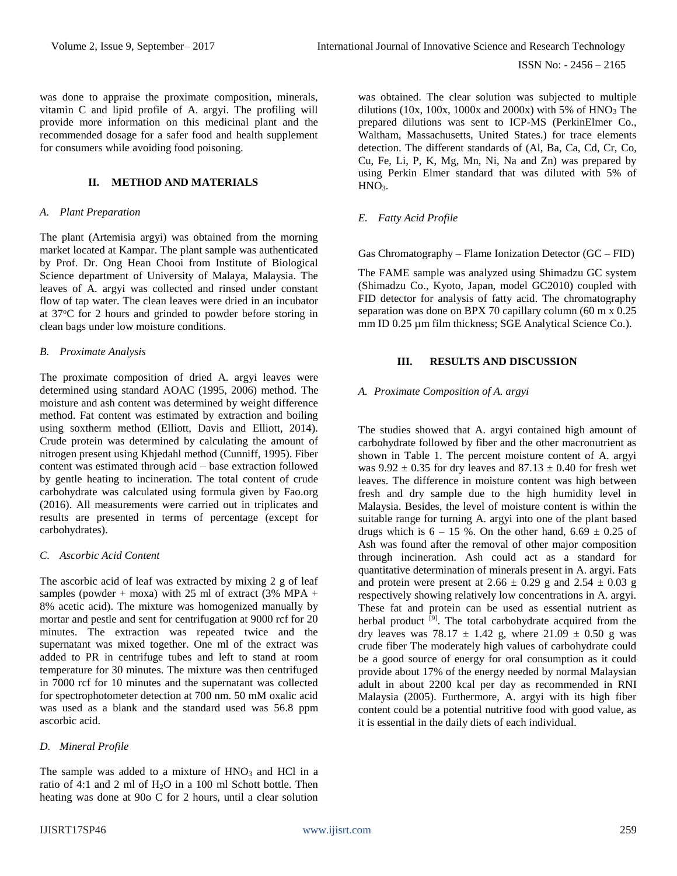was done to appraise the proximate composition, minerals, vitamin C and lipid profile of A. argyi. The profiling will provide more information on this medicinal plant and the recommended dosage for a safer food and health supplement for consumers while avoiding food poisoning.

## **II. METHOD AND MATERIALS**

#### *A. Plant Preparation*

The plant (Artemisia argyi) was obtained from the morning market located at Kampar. The plant sample was authenticated by Prof. Dr. Ong Hean Chooi from Institute of Biological Science department of University of Malaya, Malaysia. The leaves of A. argyi was collected and rinsed under constant flow of tap water. The clean leaves were dried in an incubator at 37<sup>o</sup>C for 2 hours and grinded to powder before storing in clean bags under low moisture conditions.

## *B. Proximate Analysis*

The proximate composition of dried A. argyi leaves were determined using standard AOAC (1995, 2006) method. The moisture and ash content was determined by weight difference method. Fat content was estimated by extraction and boiling using soxtherm method (Elliott, Davis and Elliott, 2014). Crude protein was determined by calculating the amount of nitrogen present using Khjedahl method (Cunniff, 1995). Fiber content was estimated through acid – base extraction followed by gentle heating to incineration. The total content of crude carbohydrate was calculated using formula given by Fao.org (2016). All measurements were carried out in triplicates and results are presented in terms of percentage (except for carbohydrates).

## *C. Ascorbic Acid Content*

The ascorbic acid of leaf was extracted by mixing 2 g of leaf samples (powder + moxa) with 25 ml of extract (3% MPA + 8% acetic acid). The mixture was homogenized manually by mortar and pestle and sent for centrifugation at 9000 rcf for 20 minutes. The extraction was repeated twice and the supernatant was mixed together. One ml of the extract was added to PR in centrifuge tubes and left to stand at room temperature for 30 minutes. The mixture was then centrifuged in 7000 rcf for 10 minutes and the supernatant was collected for spectrophotometer detection at 700 nm. 50 mM oxalic acid was used as a blank and the standard used was 56.8 ppm ascorbic acid.

## *D. Mineral Profile*

The sample was added to a mixture of  $HNO<sub>3</sub>$  and HCl in a ratio of 4:1 and 2 ml of H2O in a 100 ml Schott bottle. Then heating was done at 90o C for 2 hours, until a clear solution

was obtained. The clear solution was subjected to multiple dilutions (10x, 100x, 1000x and 2000x) with 5% of  $HNO<sub>3</sub>$  The prepared dilutions was sent to ICP-MS (PerkinElmer Co., Waltham, Massachusetts, United States.) for trace elements detection. The different standards of (Al, Ba, Ca, Cd, Cr, Co, Cu, Fe, Li, P, K, Mg, Mn, Ni, Na and Zn) was prepared by using Perkin Elmer standard that was diluted with 5% of  $HNO<sub>3</sub>$ .

## *E. Fatty Acid Profile*

Gas Chromatography – Flame Ionization Detector (GC – FID)

The FAME sample was analyzed using Shimadzu GC system (Shimadzu Co., Kyoto, Japan, model GC2010) coupled with FID detector for analysis of fatty acid. The chromatography separation was done on BPX 70 capillary column (60 m x 0.25) mm ID 0.25 µm film thickness; SGE Analytical Science Co.).

## **III. RESULTS AND DISCUSSION**

## *A. Proximate Composition of A. argyi*

The studies showed that A. argyi contained high amount of carbohydrate followed by fiber and the other macronutrient as shown in Table 1. The percent moisture content of A. argyi was  $9.92 \pm 0.35$  for dry leaves and  $87.13 \pm 0.40$  for fresh wet leaves. The difference in moisture content was high between fresh and dry sample due to the high humidity level in Malaysia. Besides, the level of moisture content is within the suitable range for turning A. argyi into one of the plant based drugs which is  $6 - 15$  %. On the other hand,  $6.69 \pm 0.25$  of Ash was found after the removal of other major composition through incineration. Ash could act as a standard for quantitative determination of minerals present in A. argyi. Fats and protein were present at  $2.66 \pm 0.29$  g and  $2.54 \pm 0.03$  g respectively showing relatively low concentrations in A. argyi. These fat and protein can be used as essential nutrient as herbal product <sup>[9]</sup>. The total carbohydrate acquired from the dry leaves was 78.17  $\pm$  1.42 g, where 21.09  $\pm$  0.50 g was crude fiber The moderately high values of carbohydrate could be a good source of energy for oral consumption as it could provide about 17% of the energy needed by normal Malaysian adult in about 2200 kcal per day as recommended in RNI Malaysia (2005). Furthermore, A. argyi with its high fiber content could be a potential nutritive food with good value, as it is essential in the daily diets of each individual.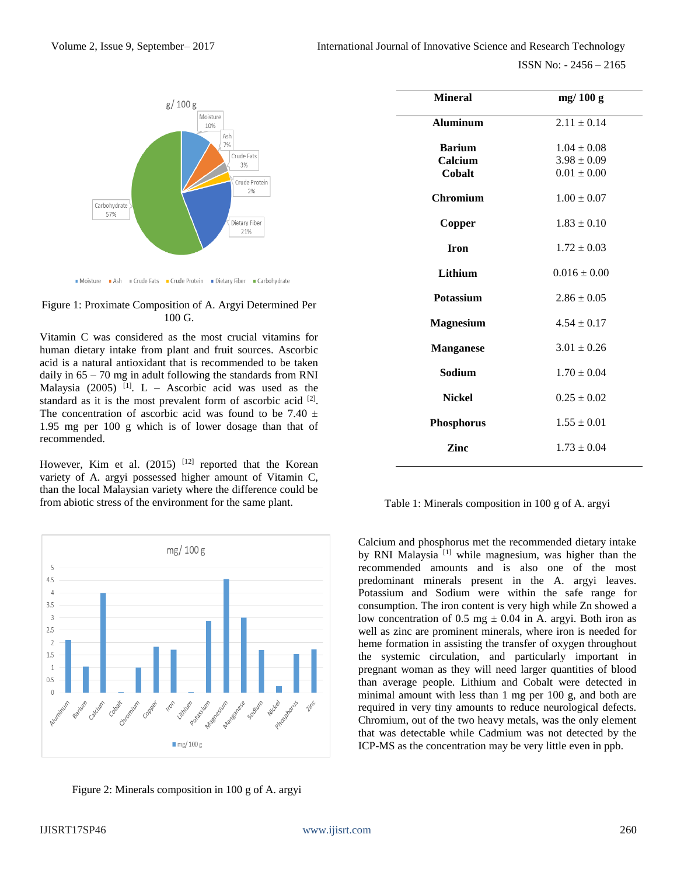ISSN No: - 2456 – 2165



Moisture Ash = Crude Fats = Crude Protein = Dietary Fiber = Carbohydrate



Vitamin C was considered as the most crucial vitamins for human dietary intake from plant and fruit sources. Ascorbic acid is a natural antioxidant that is recommended to be taken daily in 65 – 70 mg in adult following the standards from RNI Malaysia (2005) <sup>[1]</sup>. L – Ascorbic acid was used as the standard as it is the most prevalent form of ascorbic acid <sup>[2]</sup>. The concentration of ascorbic acid was found to be 7.40  $\pm$ 1.95 mg per 100 g which is of lower dosage than that of recommended.

However, Kim et al.  $(2015)$ <sup>[12]</sup> reported that the Korean variety of A. argyi possessed higher amount of Vitamin C, than the local Malaysian variety where the difference could be from abiotic stress of the environment for the same plant.



Figure 2: Minerals composition in 100 g of A. argyi

| <b>Mineral</b>                     | mg/100 g                                              |
|------------------------------------|-------------------------------------------------------|
| <b>Aluminum</b>                    | $2.11 \pm 0.14$                                       |
| <b>Barium</b><br>Calcium<br>Cobalt | $1.04 \pm 0.08$<br>$3.98 \pm 0.09$<br>$0.01 \pm 0.00$ |
| <b>Chromium</b>                    | $1.00 \pm 0.07$                                       |
| Copper                             | $1.83 \pm 0.10$                                       |
| <b>Iron</b>                        | $1.72 \pm 0.03$                                       |
| Lithium                            | $0.016 \pm 0.00$                                      |
| <b>Potassium</b>                   | $2.86 \pm 0.05$                                       |
| <b>Magnesium</b>                   | $4.54 \pm 0.17$                                       |
| <b>Manganese</b>                   | $3.01 \pm 0.26$                                       |
| Sodium                             | $1.70 \pm 0.04$                                       |
| <b>Nickel</b>                      | $0.25 \pm 0.02$                                       |
| <b>Phosphorus</b>                  | $1.55 \pm 0.01$                                       |
| Zinc                               | $1.73 \pm 0.04$                                       |

Table 1: Minerals composition in 100 g of A. argyi

Calcium and phosphorus met the recommended dietary intake by RNI Malaysia<sup>[1]</sup> while magnesium, was higher than the recommended amounts and is also one of the most predominant minerals present in the A. argyi leaves. Potassium and Sodium were within the safe range for consumption. The iron content is very high while Zn showed a low concentration of 0.5 mg  $\pm$  0.04 in A. argyi. Both iron as well as zinc are prominent minerals, where iron is needed for heme formation in assisting the transfer of oxygen throughout the systemic circulation, and particularly important in pregnant woman as they will need larger quantities of blood than average people. Lithium and Cobalt were detected in minimal amount with less than 1 mg per 100 g, and both are required in very tiny amounts to reduce neurological defects. Chromium, out of the two heavy metals, was the only element that was detectable while Cadmium was not detected by the ICP-MS as the concentration may be very little even in ppb.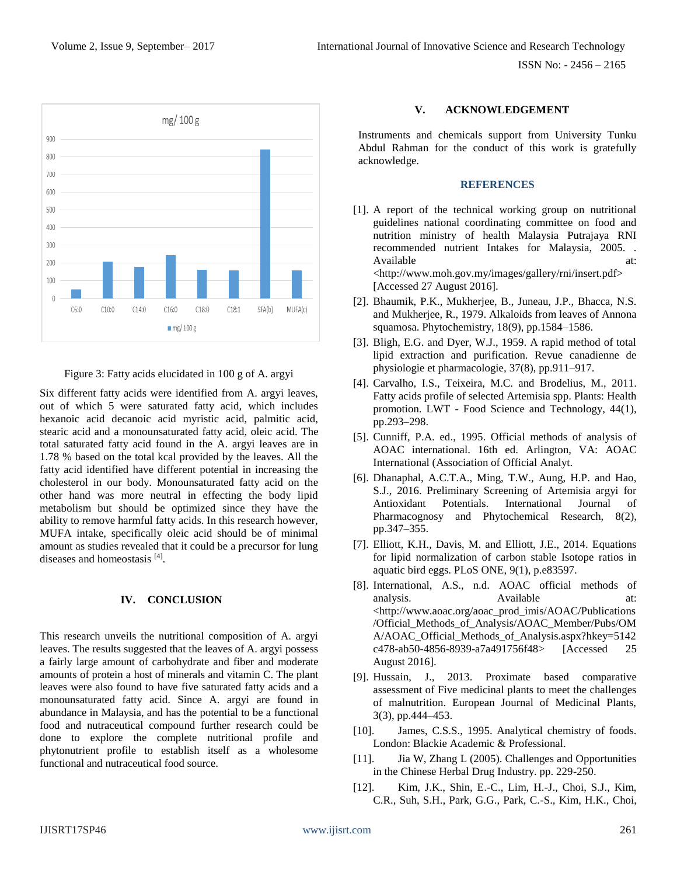ISSN No: - 2456 – 2165



Figure 3: Fatty acids elucidated in 100 g of A. argyi

Six different fatty acids were identified from A. argyi leaves, out of which 5 were saturated fatty acid, which includes hexanoic acid decanoic acid myristic acid, palmitic acid, stearic acid and a monounsaturated fatty acid, oleic acid. The total saturated fatty acid found in the A. argyi leaves are in 1.78 % based on the total kcal provided by the leaves. All the fatty acid identified have different potential in increasing the cholesterol in our body. Monounsaturated fatty acid on the other hand was more neutral in effecting the body lipid metabolism but should be optimized since they have the ability to remove harmful fatty acids. In this research however, MUFA intake, specifically oleic acid should be of minimal amount as studies revealed that it could be a precursor for lung diseases and homeostasis [4] .

## **IV. CONCLUSION**

This research unveils the nutritional composition of A. argyi leaves. The results suggested that the leaves of A. argyi possess a fairly large amount of carbohydrate and fiber and moderate amounts of protein a host of minerals and vitamin C. The plant leaves were also found to have five saturated fatty acids and a monounsaturated fatty acid. Since A. argyi are found in abundance in Malaysia, and has the potential to be a functional food and nutraceutical compound further research could be done to explore the complete nutritional profile and phytonutrient profile to establish itself as a wholesome functional and nutraceutical food source.

## **V. ACKNOWLEDGEMENT**

Instruments and chemicals support from University Tunku Abdul Rahman for the conduct of this work is gratefully acknowledge.

## **REFERENCES**

- [1]. A report of the technical working group on nutritional guidelines national coordinating committee on food and nutrition ministry of health Malaysia Putrajaya RNI recommended nutrient Intakes for Malaysia, 2005. . Available at: at: <http://www.moh.gov.my/images/gallery/rni/insert.pdf> [Accessed 27 August 2016].
- [2]. Bhaumik, P.K., Mukherjee, B., Juneau, J.P., Bhacca, N.S. and Mukherjee, R., 1979. Alkaloids from leaves of Annona squamosa. Phytochemistry, 18(9), pp.1584–1586.
- [3]. Bligh, E.G. and Dyer, W.J., 1959. A rapid method of total lipid extraction and purification. Revue canadienne de physiologie et pharmacologie, 37(8), pp.911–917.
- [4]. Carvalho, I.S., Teixeira, M.C. and Brodelius, M., 2011. Fatty acids profile of selected Artemisia spp. Plants: Health promotion. LWT - Food Science and Technology, 44(1), pp.293–298.
- [5]. Cunniff, P.A. ed., 1995. Official methods of analysis of AOAC international. 16th ed. Arlington, VA: AOAC International (Association of Official Analyt.
- [6]. Dhanaphal, A.C.T.A., Ming, T.W., Aung, H.P. and Hao, S.J., 2016. Preliminary Screening of Artemisia argyi for Antioxidant Potentials. International Journal of Pharmacognosy and Phytochemical Research, 8(2), pp.347–355.
- [7]. Elliott, K.H., Davis, M. and Elliott, J.E., 2014. Equations for lipid normalization of carbon stable Isotope ratios in aquatic bird eggs. PLoS ONE, 9(1), p.e83597.
- [8]. International, A.S., n.d. AOAC official methods of analysis. Available at: <http://www.aoac.org/aoac\_prod\_imis/AOAC/Publications /Official\_Methods\_of\_Analysis/AOAC\_Member/Pubs/OM A/AOAC\_Official\_Methods\_of\_Analysis.aspx?hkey=5142 c478-ab50-4856-8939-a7a491756f48> [Accessed 25 August 2016].
- [9]. Hussain, J., 2013. Proximate based comparative assessment of Five medicinal plants to meet the challenges of malnutrition. European Journal of Medicinal Plants, 3(3), pp.444–453.
- [10]. James, C.S.S., 1995. Analytical chemistry of foods. London: Blackie Academic & Professional.
- [11]. Jia W, Zhang L (2005). Challenges and Opportunities in the Chinese Herbal Drug Industry. pp. 229-250.
- [12]. Kim, J.K., Shin, E.-C., Lim, H.-J., Choi, S.J., Kim, C.R., Suh, S.H., Park, G.G., Park, C.-S., Kim, H.K., Choi,